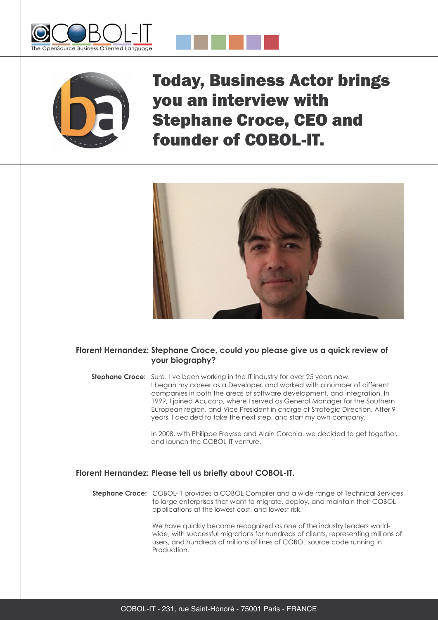





Today, Business Actor brings you an interview with Stephane Croce, CEO and founder of COBOL-IT.



# **Florent Hernandez: Stephane Croce, could you please give us a quick review of your biography?**

**Stephane Croce:** Sure. I've been working in the IT industry for over 25 years now. I began my career as a Developer, and worked with a number of different companies in both the areas of software development, and integration. In 1999, I joined Acucorp, where I served as General Manager for the Southern European region, and Vice President in charge of Strategic Direction. After 9 years, I decided to take the next step, and start my own company.

> In 2008, with Philippe Fraysse and Alain Corchia, we decided to get together, and launch the COBOL-IT venture.

## **Florent Hernandez: Please tell us briefly about COBOL-IT.**

**Stephane Croce:** COBOL-IT provides a COBOL Compiler and a wide range of Technical Services to large enterprises that want to migrate, deploy, and maintain their COBOL applications at the lowest cost, and lowest risk.

> We have quickly become recognized as one of the industry leaders worldwide, with successful migrations for hundreds of clients, representing millions of users, and hundreds of millions of lines of COBOL source code running in Production.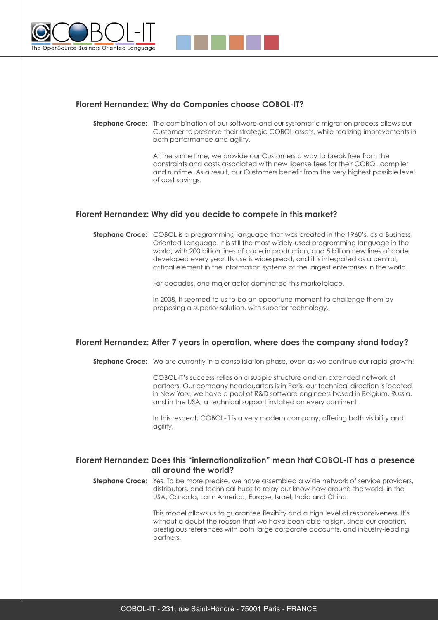



## **Florent Hernandez: Why do Companies choose COBOL-IT?**

**Stephane Croce:** The combination of our software and our systematic migration process allows our Customer to preserve their strategic COBOL assets, while realizing improvements in both performance and agility.

> At the same time, we provide our Customers a way to break free from the constraints and costs associated with new license fees for their COBOL compiler and runtime. As a result, our Customers benefit from the very highest possible level of cost savings.

# **Florent Hernandez: Why did you decide to compete in this market?**

**Stephane Croce:** COBOL is a programming language that was created in the 1960's, as a Business Oriented Language. It is still the most widely-used programming language in the world, with 200 billion lines of code in production, and 5 billion new lines of code developed every year. Its use is widespread, and it is integrated as a central, critical element in the information systems of the largest enterprises in the world.

For decades, one major actor dominated this marketplace.

In 2008, it seemed to us to be an opportune moment to challenge them by proposing a superior solution, with superior technology.

## **Florent Hernandez: After 7 years in operation, where does the company stand today?**

**Stephane Croce:** We are currently in a consolidation phase, even as we continue our rapid growth!

COBOL-IT's success relies on a supple structure and an extended network of partners. Our company headquarters is in Paris, our technical direction is located in New York, we have a pool of R&D software engineers based in Belgium, Russia, and in the USA, a technical support installed on every continent.

In this respect, COBOL-IT is a very modern company, offering both visibility and agility.

# **Florent Hernandez: Does this "internationalization" mean that COBOL-IT has a presence all around the world?**

**Stephane Croce:** Yes. To be more precise, we have assembled a wide network of service providers, distributors, and technical hubs to relay our know-how around the world, in the USA, Canada, Latin America, Europe, Israel, India and China.

> This model allows us to guarantee flexibity and a high level of responsiveness. It's without a doubt the reason that we have been able to sign, since our creation, prestigious references with both large corporate accounts, and industry-leading partners.